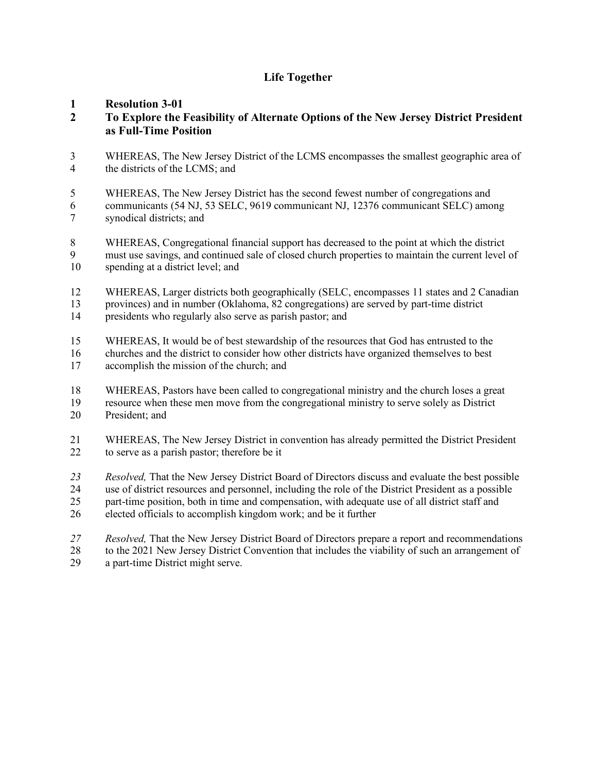## **Life Together**

#### **Resolution 3-01**

#### **To Explore the Feasibility of Alternate Options of the New Jersey District President as Full-Time Position**

 WHEREAS, The New Jersey District of the LCMS encompasses the smallest geographic area of the districts of the LCMS; and

 WHEREAS, The New Jersey District has the second fewest number of congregations and communicants (54 NJ, 53 SELC, 9619 communicant NJ, 12376 communicant SELC) among

synodical districts; and

 WHEREAS, Congregational financial support has decreased to the point at which the district must use savings, and continued sale of closed church properties to maintain the current level of spending at a district level; and

 WHEREAS, Larger districts both geographically (SELC, encompasses 11 states and 2 Canadian provinces) and in number (Oklahoma, 82 congregations) are served by part-time district presidents who regularly also serve as parish pastor; and

 WHEREAS, It would be of best stewardship of the resources that God has entrusted to the churches and the district to consider how other districts have organized themselves to best

accomplish the mission of the church; and

WHEREAS, Pastors have been called to congregational ministry and the church loses a great

- resource when these men move from the congregational ministry to serve solely as District President; and
- WHEREAS, The New Jersey District in convention has already permitted the District President to serve as a parish pastor; therefore be it

 *Resolved,* That the New Jersey District Board of Directors discuss and evaluate the best possible use of district resources and personnel, including the role of the District President as a possible part-time position, both in time and compensation, with adequate use of all district staff and

elected officials to accomplish kingdom work; and be it further

 *Resolved,* That the New Jersey District Board of Directors prepare a report and recommendations to the 2021 New Jersey District Convention that includes the viability of such an arrangement of a part-time District might serve.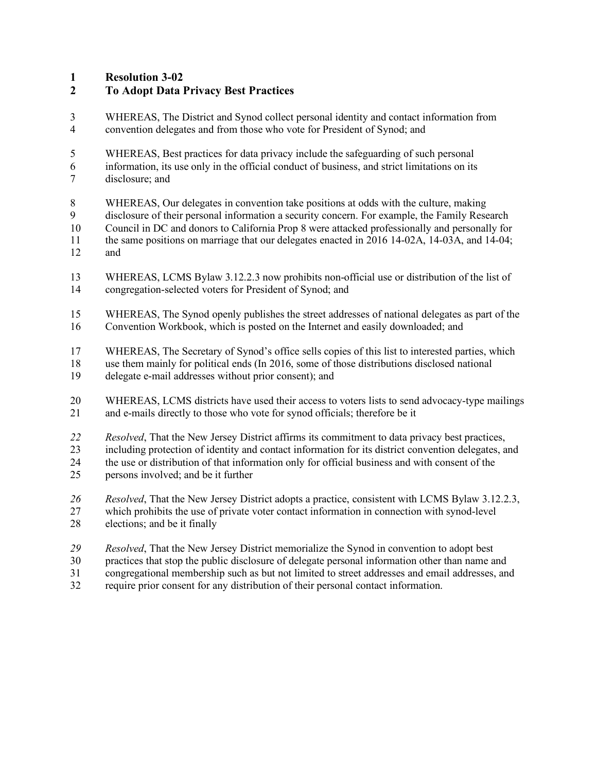**Resolution 3-02**

# **To Adopt Data Privacy Best Practices**

- WHEREAS, The District and Synod collect personal identity and contact information from convention delegates and from those who vote for President of Synod; and
- WHEREAS, Best practices for data privacy include the safeguarding of such personal
- information, its use only in the official conduct of business, and strict limitations on its disclosure; and
- WHEREAS, Our delegates in convention take positions at odds with the culture, making
- disclosure of their personal information a security concern. For example, the Family Research
- Council in DC and donors to California Prop 8 were attacked professionally and personally for
- 11 the same positions on marriage that our delegates enacted in 2016 14-02A, 14-03A, and 14-04;<br>12 and and
- WHEREAS, LCMS Bylaw 3.12.2.3 now prohibits non-official use or distribution of the list of congregation-selected voters for President of Synod; and
- WHEREAS, The Synod openly publishes the street addresses of national delegates as part of the
- Convention Workbook, which is posted on the Internet and easily downloaded; and
- WHEREAS, The Secretary of Synod's office sells copies of this list to interested parties, which
- use them mainly for political ends (In 2016, some of those distributions disclosed national
- delegate e-mail addresses without prior consent); and
- WHEREAS, LCMS districts have used their access to voters lists to send advocacy-type mailings and e-mails directly to those who vote for synod officials; therefore be it
- *Resolved*, That the New Jersey District affirms its commitment to data privacy best practices,
- including protection of identity and contact information for its district convention delegates, and
- the use or distribution of that information only for official business and with consent of the
- persons involved; and be it further
- *Resolved*, That the New Jersey District adopts a practice, consistent with LCMS Bylaw 3.12.2.3,
- which prohibits the use of private voter contact information in connection with synod-level elections; and be it finally
- *Resolved*, That the New Jersey District memorialize the Synod in convention to adopt best
- practices that stop the public disclosure of delegate personal information other than name and
- congregational membership such as but not limited to street addresses and email addresses, and
- require prior consent for any distribution of their personal contact information.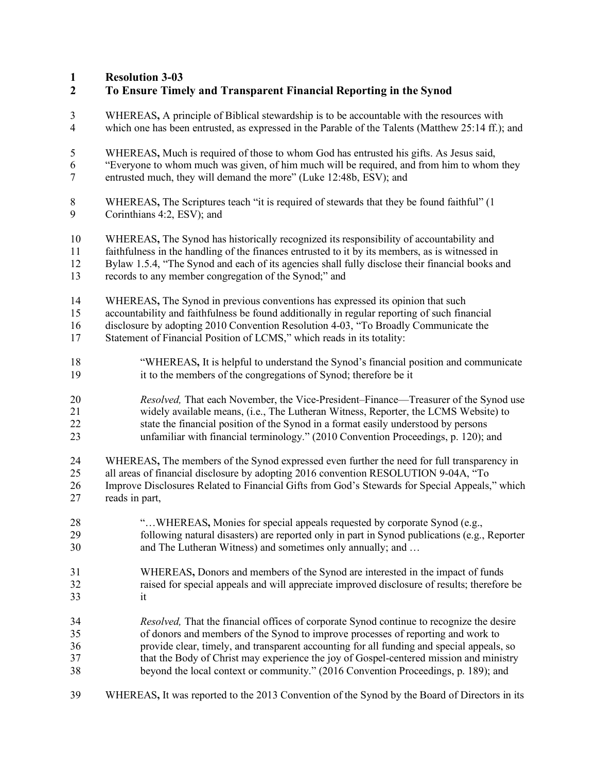# **Resolution 3-03**

| $\boldsymbol{2}$ | To Ensure Timely and Transparent Financial Reporting in the Synod                                 |
|------------------|---------------------------------------------------------------------------------------------------|
| 3                | WHEREAS, A principle of Biblical stewardship is to be accountable with the resources with         |
| $\overline{4}$   | which one has been entrusted, as expressed in the Parable of the Talents (Matthew 25:14 ff.); and |
| 5                | WHEREAS, Much is required of those to whom God has entrusted his gifts. As Jesus said,            |
| 6                | "Everyone to whom much was given, of him much will be required, and from him to whom they         |
| $\tau$           | entrusted much, they will demand the more" (Luke 12:48b, ESV); and                                |
| 8                | WHEREAS, The Scriptures teach "it is required of stewards that they be found faithful" (1)        |
| 9                | Corinthians 4:2, ESV); and                                                                        |
| 10               | WHEREAS, The Synod has historically recognized its responsibility of accountability and           |
| 11               | faithfulness in the handling of the finances entrusted to it by its members, as is witnessed in   |
| 12               | Bylaw 1.5.4, "The Synod and each of its agencies shall fully disclose their financial books and   |
| 13               | records to any member congregation of the Synod;" and                                             |
| 14               | WHEREAS, The Synod in previous conventions has expressed its opinion that such                    |
| 15               | accountability and faithfulness be found additionally in regular reporting of such financial      |
| 16               | disclosure by adopting 2010 Convention Resolution 4-03, "To Broadly Communicate the               |
| 17               | Statement of Financial Position of LCMS," which reads in its totality:                            |
| 18               | "WHEREAS, It is helpful to understand the Synod's financial position and communicate              |
| 19               | it to the members of the congregations of Synod; therefore be it                                  |
| 20               | Resolved, That each November, the Vice-President-Finance-Treasurer of the Synod use               |
| 21               | widely available means, (i.e., The Lutheran Witness, Reporter, the LCMS Website) to               |
| 22               | state the financial position of the Synod in a format easily understood by persons                |
| 23               | unfamiliar with financial terminology." (2010 Convention Proceedings, p. 120); and                |
| 24               | WHEREAS, The members of the Synod expressed even further the need for full transparency in        |
| 25               | all areas of financial disclosure by adopting 2016 convention RESOLUTION 9-04A, "To               |
| 26               | Improve Disclosures Related to Financial Gifts from God's Stewards for Special Appeals," which    |
| 27               | reads in part,                                                                                    |
| $28\,$           | " WHEREAS, Monies for special appeals requested by corporate Synod (e.g.,                         |
| 29               | following natural disasters) are reported only in part in Synod publications (e.g., Reporter      |
| 30               | and The Lutheran Witness) and sometimes only annually; and                                        |
| 31               | WHEREAS, Donors and members of the Synod are interested in the impact of funds                    |
| 32               | raised for special appeals and will appreciate improved disclosure of results; therefore be       |
| 33               | it                                                                                                |
| 34               | Resolved, That the financial offices of corporate Synod continue to recognize the desire          |
| 35               | of donors and members of the Synod to improve processes of reporting and work to                  |
| 36               | provide clear, timely, and transparent accounting for all funding and special appeals, so         |
| 37               | that the Body of Christ may experience the joy of Gospel-centered mission and ministry            |
| 38               | beyond the local context or community." (2016 Convention Proceedings, p. 189); and                |
| 39               | WHEREAS, It was reported to the 2013 Convention of the Synod by the Board of Directors in its     |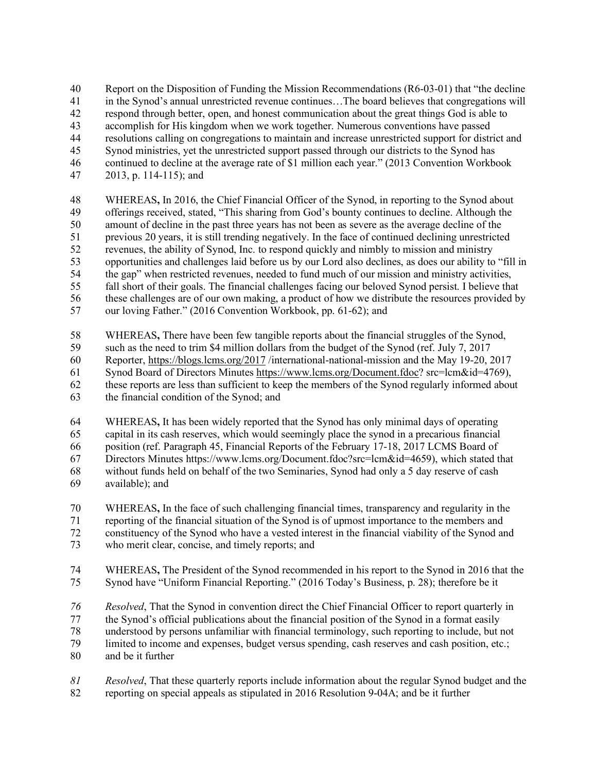Report on the Disposition of Funding the Mission Recommendations (R6-03-01) that "the decline

in the Synod's annual unrestricted revenue continues…The board believes that congregations will

respond through better, open, and honest communication about the great things God is able to

accomplish for His kingdom when we work together. Numerous conventions have passed

resolutions calling on congregations to maintain and increase unrestricted support for district and

- Synod ministries, yet the unrestricted support passed through our districts to the Synod has
- continued to decline at the average rate of \$1 million each year." (2013 Convention Workbook
- 2013, p. 114-115); and

 WHEREAS**,** In 2016, the Chief Financial Officer of the Synod, in reporting to the Synod about offerings received, stated, "This sharing from God's bounty continues to decline. Although the amount of decline in the past three years has not been as severe as the average decline of the previous 20 years, it is still trending negatively. In the face of continued declining unrestricted revenues, the ability of Synod, Inc. to respond quickly and nimbly to mission and ministry opportunities and challenges laid before us by our Lord also declines, as does our ability to "fill in the gap" when restricted revenues, needed to fund much of our mission and ministry activities, fall short of their goals. The financial challenges facing our beloved Synod persist. I believe that these challenges are of our own making, a product of how we distribute the resources provided by

our loving Father." (2016 Convention Workbook, pp. 61-62); and

WHEREAS**,** There have been few tangible reports about the financial struggles of the Synod,

such as the need to trim \$4 million dollars from the budget of the Synod (ref. July 7, 2017

Reporter, https://blogs.lcms.org/2017 /international-national-mission and the May 19-20, 2017

Synod Board of Directors Minutes https://www.lcms.org/Document.fdoc? src=lcm&id=4769),

these reports are less than sufficient to keep the members of the Synod regularly informed about

the financial condition of the Synod; and

WHEREAS**,** It has been widely reported that the Synod has only minimal days of operating

capital in its cash reserves, which would seemingly place the synod in a precarious financial

position (ref. Paragraph 45, Financial Reports of the February 17-18, 2017 LCMS Board of

Directors Minutes https://www.lcms.org/Document.fdoc?src=lcm&id=4659), which stated that

without funds held on behalf of the two Seminaries, Synod had only a 5 day reserve of cash

available); and

 WHEREAS**,** In the face of such challenging financial times, transparency and regularity in the reporting of the financial situation of the Synod is of upmost importance to the members and constituency of the Synod who have a vested interest in the financial viability of the Synod and

- who merit clear, concise, and timely reports; and
- 
- WHEREAS**,** The President of the Synod recommended in his report to the Synod in 2016 that the Synod have "Uniform Financial Reporting." (2016 Today's Business, p. 28); therefore be it

*Resolved*, That the Synod in convention direct the Chief Financial Officer to report quarterly in

the Synod's official publications about the financial position of the Synod in a format easily

78 understood by persons unfamiliar with financial terminology, such reporting to include, but not<br>79 limited to income and expenses, budget versus spending, cash reserves and cash position, etc.:

limited to income and expenses, budget versus spending, cash reserves and cash position, etc.;

- and be it further
- *Resolved*, That these quarterly reports include information about the regular Synod budget and the reporting on special appeals as stipulated in 2016 Resolution 9-04A; and be it further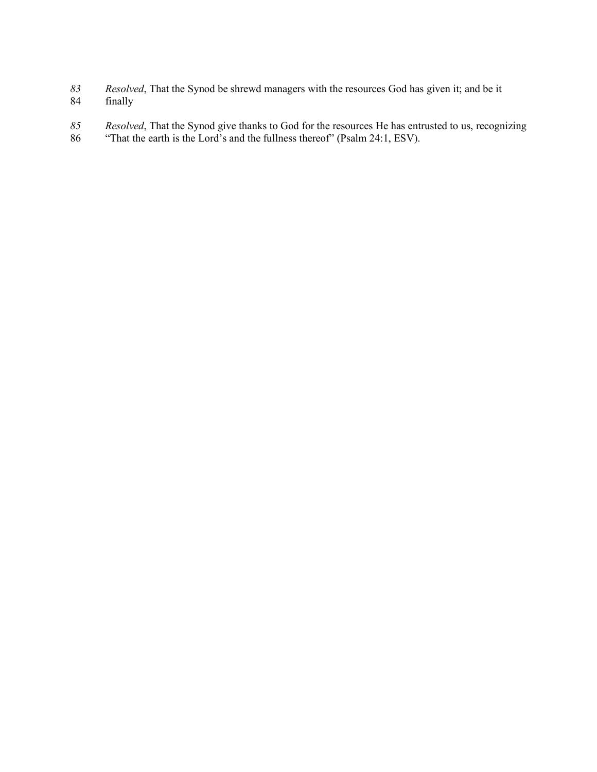- *Resolved*, That the Synod be shrewd managers with the resources God has given it; and be it finally
- *Resolved*, That the Synod give thanks to God for the resources He has entrusted to us, recognizing
- "That the earth is the Lord's and the fullness thereof" (Psalm 24:1, ESV).